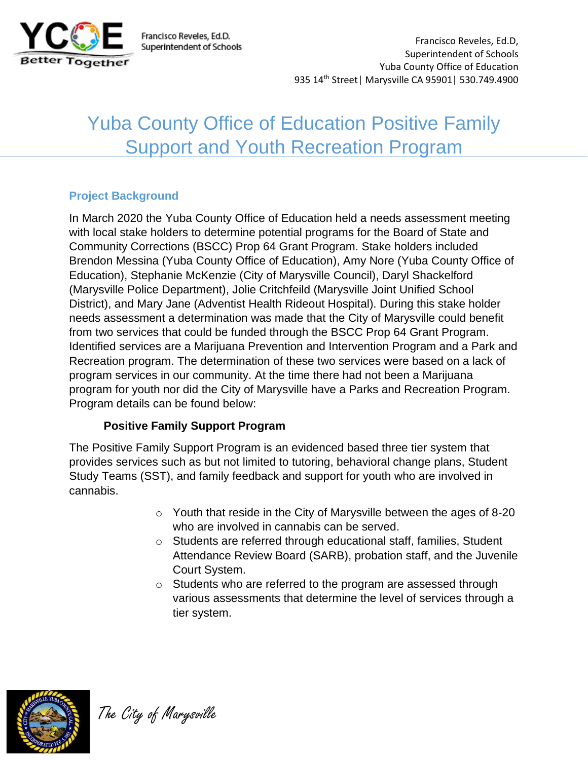

Francisco Reveles, Ed.D. Superintendent of Schools

Francisco Reveles, Ed.D, Superintendent of Schools Yuba County Office of Education 935 14th Street| Marysville CA 95901| 530.749.4900

# Yuba County Office of Education Positive Family Support and Youth Recreation Program

## **Project Background**

In March 2020 the Yuba County Office of Education held a needs assessment meeting with local stake holders to determine potential programs for the Board of State and Community Corrections (BSCC) Prop 64 Grant Program. Stake holders included Brendon Messina (Yuba County Office of Education), Amy Nore (Yuba County Office of Education), Stephanie McKenzie (City of Marysville Council), Daryl Shackelford (Marysville Police Department), Jolie Critchfeild (Marysville Joint Unified School District), and Mary Jane (Adventist Health Rideout Hospital). During this stake holder needs assessment a determination was made that the City of Marysville could benefit from two services that could be funded through the BSCC Prop 64 Grant Program. Identified services are a Marijuana Prevention and Intervention Program and a Park and Recreation program. The determination of these two services were based on a lack of program services in our community. At the time there had not been a Marijuana program for youth nor did the City of Marysville have a Parks and Recreation Program. Program details can be found below:

#### **Positive Family Support Program**

The Positive Family Support Program is an evidenced based three tier system that provides services such as but not limited to tutoring, behavioral change plans, Student Study Teams (SST), and family feedback and support for youth who are involved in cannabis.

- o Youth that reside in the City of Marysville between the ages of 8-20 who are involved in cannabis can be served.
- o Students are referred through educational staff, families, Student Attendance Review Board (SARB), probation staff, and the Juvenile Court System.
- o Students who are referred to the program are assessed through various assessments that determine the level of services through a tier system.



The City of Marysville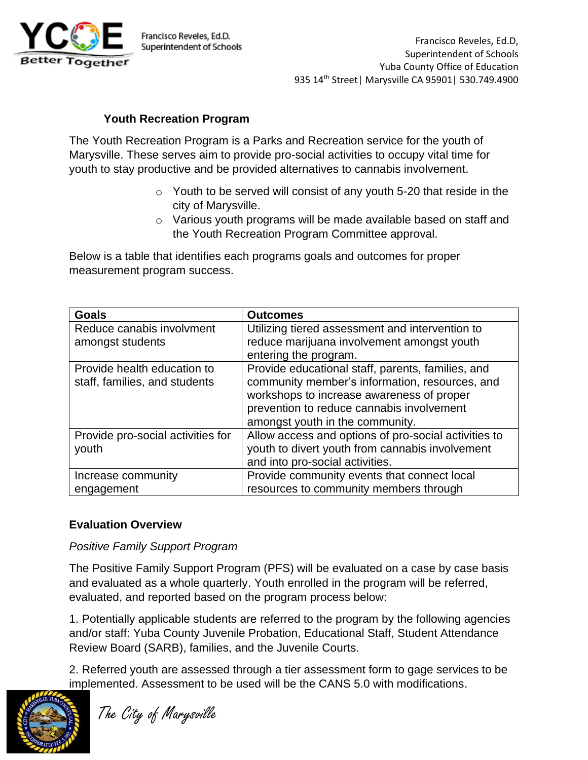

### **Youth Recreation Program**

The Youth Recreation Program is a Parks and Recreation service for the youth of Marysville. These serves aim to provide pro-social activities to occupy vital time for youth to stay productive and be provided alternatives to cannabis involvement.

- $\circ$  Youth to be served will consist of any youth 5-20 that reside in the city of Marysville.
- o Various youth programs will be made available based on staff and the Youth Recreation Program Committee approval.

Below is a table that identifies each programs goals and outcomes for proper measurement program success.

| <b>Goals</b>                      | <b>Outcomes</b>                                      |  |  |
|-----------------------------------|------------------------------------------------------|--|--|
| Reduce canabis involvment         | Utilizing tiered assessment and intervention to      |  |  |
| amongst students                  | reduce marijuana involvement amongst youth           |  |  |
|                                   | entering the program.                                |  |  |
| Provide health education to       | Provide educational staff, parents, families, and    |  |  |
| staff, families, and students     | community member's information, resources, and       |  |  |
|                                   | workshops to increase awareness of proper            |  |  |
|                                   | prevention to reduce cannabis involvement            |  |  |
|                                   | amongst youth in the community.                      |  |  |
| Provide pro-social activities for | Allow access and options of pro-social activities to |  |  |
| youth                             | youth to divert youth from cannabis involvement      |  |  |
|                                   | and into pro-social activities.                      |  |  |
| Increase community                | Provide community events that connect local          |  |  |
| engagement                        | resources to community members through               |  |  |

#### **Evaluation Overview**

#### *Positive Family Support Program*

The Positive Family Support Program (PFS) will be evaluated on a case by case basis and evaluated as a whole quarterly. Youth enrolled in the program will be referred, evaluated, and reported based on the program process below:

1. Potentially applicable students are referred to the program by the following agencies and/or staff: Yuba County Juvenile Probation, Educational Staff, Student Attendance Review Board (SARB), families, and the Juvenile Courts.

2. Referred youth are assessed through a tier assessment form to gage services to be implemented. Assessment to be used will be the CANS 5.0 with modifications.



The City of Marysville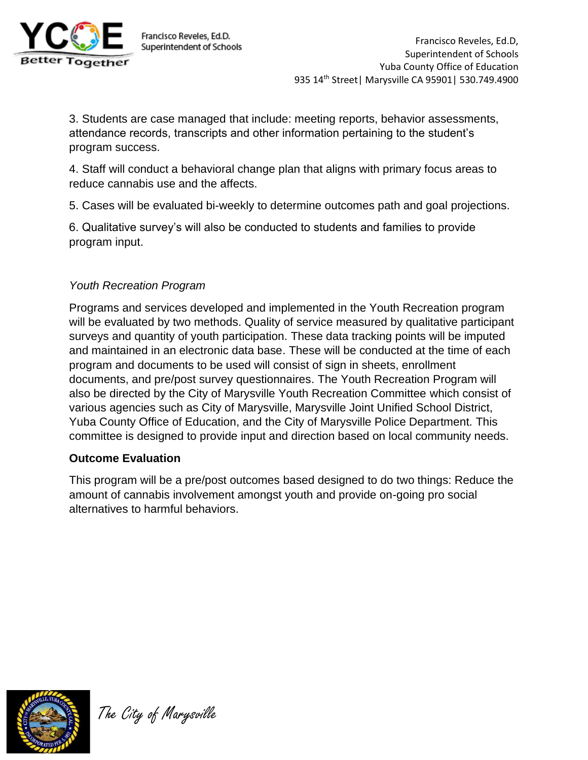

Francisco Reveles, Ed.D. Superintendent of Schools

3. Students are case managed that include: meeting reports, behavior assessments, attendance records, transcripts and other information pertaining to the student's program success.

4. Staff will conduct a behavioral change plan that aligns with primary focus areas to reduce cannabis use and the affects.

5. Cases will be evaluated bi-weekly to determine outcomes path and goal projections.

6. Qualitative survey's will also be conducted to students and families to provide program input.

## *Youth Recreation Program*

Programs and services developed and implemented in the Youth Recreation program will be evaluated by two methods. Quality of service measured by qualitative participant surveys and quantity of youth participation. These data tracking points will be imputed and maintained in an electronic data base. These will be conducted at the time of each program and documents to be used will consist of sign in sheets, enrollment documents, and pre/post survey questionnaires. The Youth Recreation Program will also be directed by the City of Marysville Youth Recreation Committee which consist of various agencies such as City of Marysville, Marysville Joint Unified School District, Yuba County Office of Education, and the City of Marysville Police Department. This committee is designed to provide input and direction based on local community needs.

## **Outcome Evaluation**

This program will be a pre/post outcomes based designed to do two things: Reduce the amount of cannabis involvement amongst youth and provide on-going pro social alternatives to harmful behaviors.



The City of Marysville